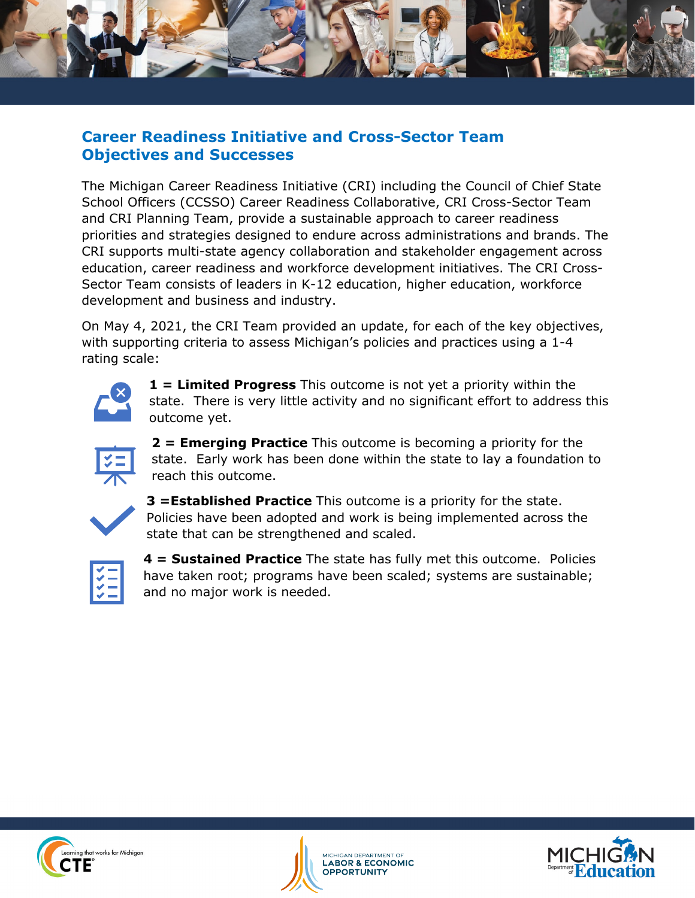

## **Career Readiness Initiative and Cross-Sector Team Objectives and Successes**

The Michigan Career Readiness Initiative (CRI) including the Council of Chief State School Officers (CCSSO) Career Readiness Collaborative, CRI Cross-Sector Team and CRI Planning Team, provide a sustainable approach to career readiness priorities and strategies designed to endure across administrations and brands. The CRI supports multi-state agency collaboration and stakeholder engagement across education, career readiness and workforce development initiatives. The CRI Cross-Sector Team consists of leaders in K-12 education, higher education, workforce development and business and industry.

On May 4, 2021, the CRI Team provided an update, for each of the key objectives, with supporting criteria to assess Michigan's policies and practices using a 1-4 rating scale:

|--|

**1 = Limited Progress** This outcome is not yet a priority within the state. There is very little activity and no significant effort to address this outcome yet.



**2 = Emerging Practice** This outcome is becoming a priority for the state. Early work has been done within the state to lay a foundation to reach this outcome.



**3 =Established Practice** This outcome is a priority for the state. Policies have been adopted and work is being implemented across the state that can be strengthened and scaled.



**4 = Sustained Practice** The state has fully met this outcome. Policies have taken root; programs have been scaled; systems are sustainable; and no major work is needed.





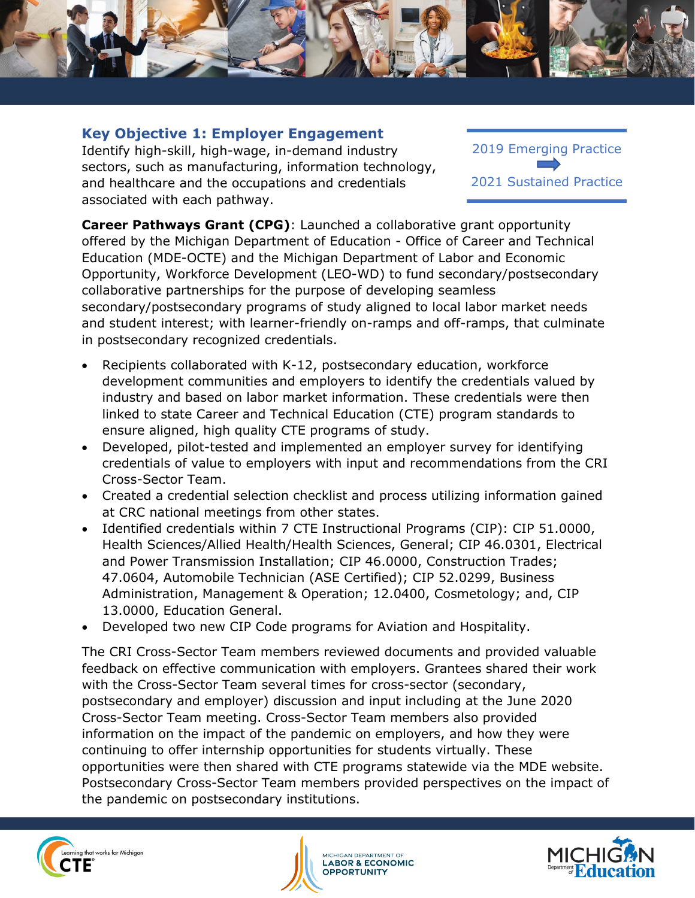

#### **Key Objective 1: Employer Engagement**

Identify high-skill, high-wage, in-demand industry sectors, such as manufacturing, information technology, and healthcare and the occupations and credentials associated with each pathway.

2019 Emerging Practice 2021 Sustained Practice

**Career Pathways Grant (CPG)**: Launched a collaborative grant opportunity offered by the Michigan Department of Education - Office of Career and Technical Education (MDE-OCTE) and the Michigan Department of Labor and Economic Opportunity, Workforce Development (LEO-WD) to fund secondary/postsecondary collaborative partnerships for the purpose of developing seamless secondary/postsecondary programs of study aligned to local labor market needs and student interest; with learner-friendly on-ramps and off-ramps, that culminate in postsecondary recognized credentials.

- Recipients collaborated with K-12, postsecondary education, workforce development communities and employers to identify the credentials valued by industry and based on labor market information. These credentials were then linked to state Career and Technical Education (CTE) program standards to ensure aligned, high quality CTE programs of study.
- Developed, pilot-tested and implemented an employer survey for identifying credentials of value to employers with input and recommendations from the CRI Cross-Sector Team.
- Created a credential selection checklist and process utilizing information gained at CRC national meetings from other states.
- Identified credentials within 7 CTE Instructional Programs (CIP): CIP 51.0000, Health Sciences/Allied Health/Health Sciences, General; CIP 46.0301, Electrical and Power Transmission Installation; CIP 46.0000, Construction Trades; 47.0604, Automobile Technician (ASE Certified); CIP 52.0299, Business Administration, Management & Operation; 12.0400, Cosmetology; and, CIP 13.0000, Education General.
- Developed two new CIP Code programs for Aviation and Hospitality.

The CRI Cross-Sector Team members reviewed documents and provided valuable feedback on effective communication with employers. Grantees shared their work with the Cross-Sector Team several times for cross-sector (secondary, postsecondary and employer) discussion and input including at the June 2020 Cross-Sector Team meeting. Cross-Sector Team members also provided information on the impact of the pandemic on employers, and how they were continuing to offer internship opportunities for students virtually. These opportunities were then shared with CTE programs statewide via the MDE website. Postsecondary Cross-Sector Team members provided perspectives on the impact of the pandemic on postsecondary institutions.





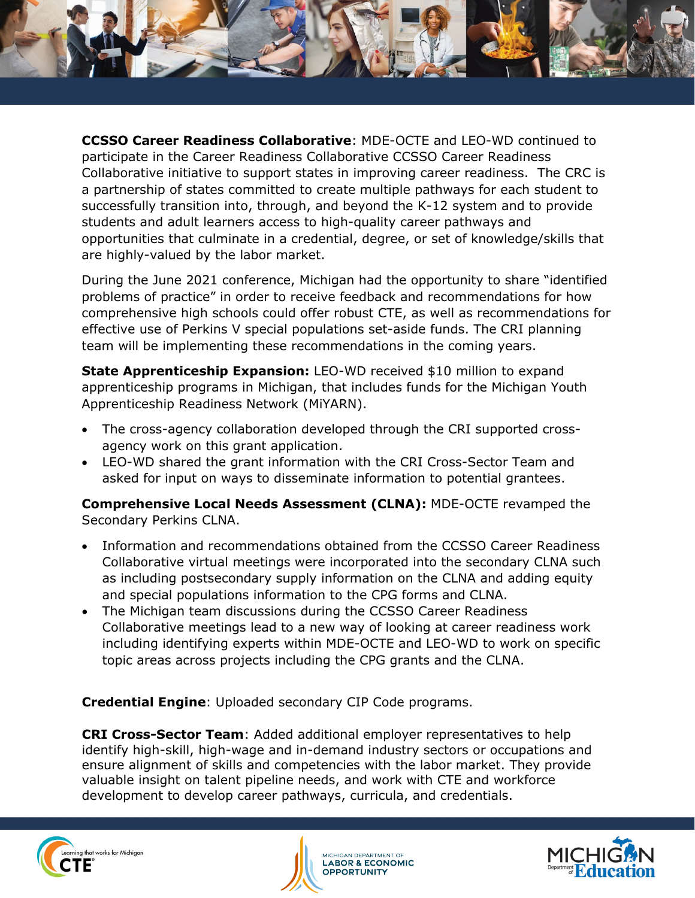

**CCSSO Career Readiness Collaborative**: MDE-OCTE and LEO-WD continued to participate in the Career Readiness Collaborative CCSSO Career Readiness Collaborative initiative to support states in improving career readiness. The CRC is a partnership of states committed to create multiple pathways for each student to successfully transition into, through, and beyond the K-12 system and to provide students and adult learners access to high-quality career pathways and opportunities that culminate in a credential, degree, or set of knowledge/skills that are highly-valued by the labor market.

During the June 2021 conference, Michigan had the opportunity to share "identified problems of practice" in order to receive feedback and recommendations for how comprehensive high schools could offer robust CTE, as well as recommendations for effective use of Perkins V special populations set-aside funds. The CRI planning team will be implementing these recommendations in the coming years.

**State Apprenticeship Expansion:** LEO-WD received \$10 million to expand apprenticeship programs in Michigan, that includes funds for the Michigan Youth Apprenticeship Readiness Network (MiYARN).

- The cross-agency collaboration developed through the CRI supported crossagency work on this grant application.
- LEO-WD shared the grant information with the CRI Cross-Sector Team and asked for input on ways to disseminate information to potential grantees.

**Comprehensive Local Needs Assessment (CLNA):** MDE-OCTE revamped the Secondary Perkins CLNA.

- Information and recommendations obtained from the CCSSO Career Readiness Collaborative virtual meetings were incorporated into the secondary CLNA such as including postsecondary supply information on the CLNA and adding equity and special populations information to the CPG forms and CLNA.
- The Michigan team discussions during the CCSSO Career Readiness Collaborative meetings lead to a new way of looking at career readiness work including identifying experts within MDE-OCTE and LEO-WD to work on specific topic areas across projects including the CPG grants and the CLNA.

**Credential Engine**: Uploaded secondary CIP Code programs.

**CRI Cross-Sector Team**: Added additional employer representatives to help identify high-skill, high-wage and in-demand industry sectors or occupations and ensure alignment of skills and competencies with the labor market. They provide valuable insight on talent pipeline needs, and work with CTE and workforce development to develop career pathways, curricula, and credentials.





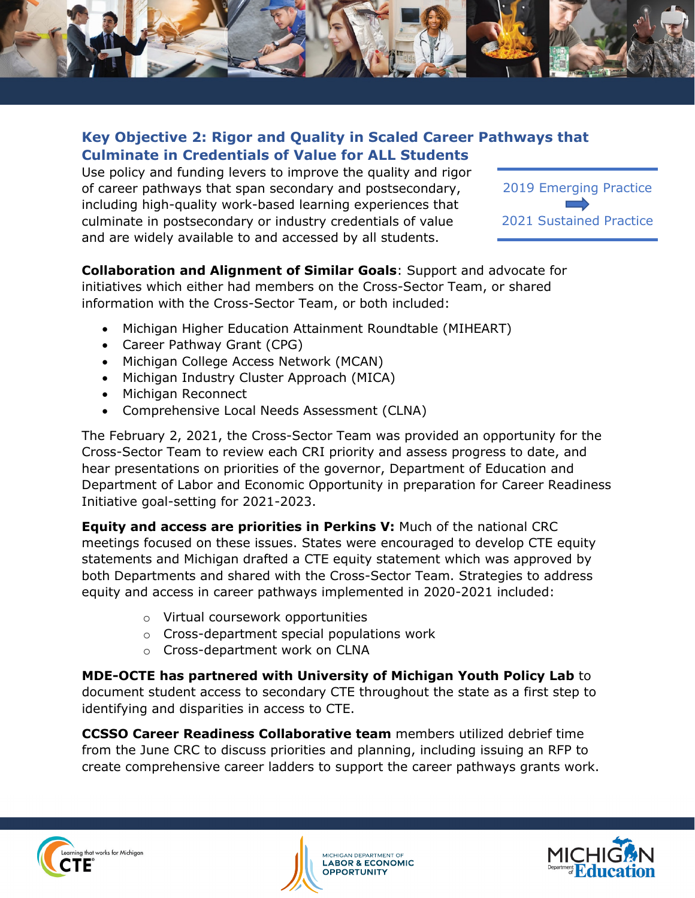

### **Key Objective 2: Rigor and Quality in Scaled Career Pathways that Culminate in Credentials of Value for ALL Students**

Use policy and funding levers to improve the quality and rigor of career pathways that span secondary and postsecondary, including high-quality work-based learning experiences that culminate in postsecondary or industry credentials of value and are widely available to and accessed by all students.



#### **Collaboration and Alignment of Similar Goals**: Support and advocate for initiatives which either had members on the Cross-Sector Team, or shared information with the Cross-Sector Team, or both included:

- Michigan Higher Education Attainment Roundtable (MIHEART)
- Career Pathway Grant (CPG)
- Michigan College Access Network (MCAN)
- Michigan Industry Cluster Approach (MICA)
- Michigan Reconnect
- Comprehensive Local Needs Assessment (CLNA)

The February 2, 2021, the Cross-Sector Team was provided an opportunity for the Cross-Sector Team to review each CRI priority and assess progress to date, and hear presentations on priorities of the governor, Department of Education and Department of Labor and Economic Opportunity in preparation for Career Readiness Initiative goal-setting for 2021-2023.

**Equity and access are priorities in Perkins V:** Much of the national CRC meetings focused on these issues. States were encouraged to develop CTE equity statements and Michigan drafted a CTE equity statement which was approved by both Departments and shared with the Cross-Sector Team. Strategies to address equity and access in career pathways implemented in 2020-2021 included:

- o Virtual coursework opportunities
- o Cross-department special populations work
- o Cross-department work on CLNA

**MDE-OCTE has partnered with University of Michigan Youth Policy Lab** to document student access to secondary CTE throughout the state as a first step to identifying and disparities in access to CTE.

**CCSSO Career Readiness Collaborative team** members utilized debrief time from the June CRC to discuss priorities and planning, including issuing an RFP to create comprehensive career ladders to support the career pathways grants work.





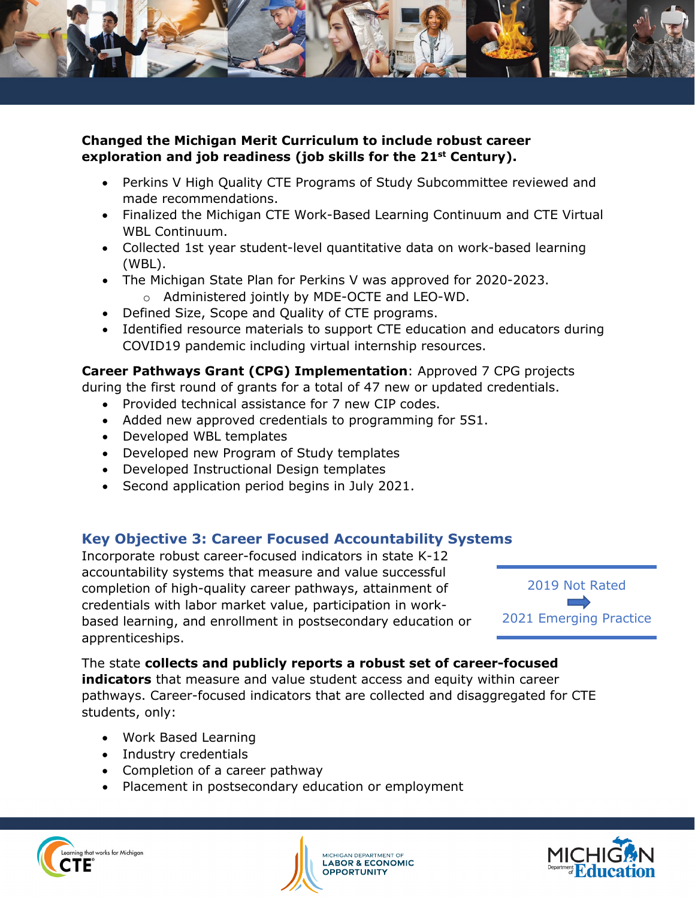

#### **Changed the Michigan Merit Curriculum to include robust career exploration and job readiness (job skills for the 21st Century).**

- Perkins V High Quality CTE Programs of Study Subcommittee reviewed and made recommendations.
- Finalized the Michigan CTE Work-Based Learning Continuum and CTE Virtual WBL Continuum.
- Collected 1st year student-level quantitative data on work-based learning (WBL).
- The Michigan State Plan for Perkins V was approved for 2020-2023. o Administered jointly by MDE-OCTE and LEO-WD.
- Defined Size, Scope and Quality of CTE programs.
- Identified resource materials to support CTE education and educators during COVID19 pandemic including virtual internship resources.

### **Career Pathways Grant (CPG) Implementation**: Approved 7 CPG projects

during the first round of grants for a total of 47 new or updated credentials.

- Provided technical assistance for 7 new CIP codes.
- Added new approved credentials to programming for 5S1.
- Developed WBL templates
- Developed new Program of Study templates
- Developed Instructional Design templates
- Second application period begins in July 2021.

# **Key Objective 3: Career Focused Accountability Systems**

Incorporate robust career-focused indicators in state K-12 accountability systems that measure and value successful completion of high-quality career pathways, attainment of credentials with labor market value, participation in workbased learning, and enrollment in postsecondary education or apprenticeships.



#### The state **collects and publicly reports a robust set of career-focused indicators** that measure and value student access and equity within career pathways. Career-focused indicators that are collected and disaggregated for CTE

- Work Based Learning
- Industry credentials

students, only:

- Completion of a career pathway
- Placement in postsecondary education or employment